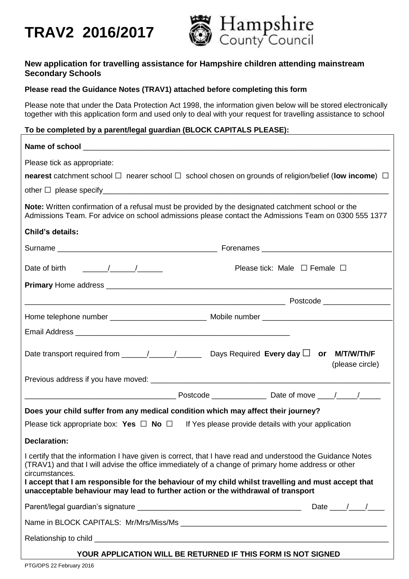# **TRAV2 2016/2017**



## **New application for travelling assistance for Hampshire children attending mainstream Secondary Schools**

## **Please read the Guidance Notes (TRAV1) attached before completing this form**

Please note that under the Data Protection Act 1998, the information given below will be stored electronically together with this application form and used only to deal with your request for travelling assistance to school

#### **To be completed by a parent/legal guardian (BLOCK CAPITALS PLEASE):**

| Please tick as appropriate:                                                                                                                                                                                                                                                                                                                                                                                                   |
|-------------------------------------------------------------------------------------------------------------------------------------------------------------------------------------------------------------------------------------------------------------------------------------------------------------------------------------------------------------------------------------------------------------------------------|
| nearest catchment school $\Box$ nearer school $\Box$ school chosen on grounds of religion/belief (low income) $\Box$                                                                                                                                                                                                                                                                                                          |
|                                                                                                                                                                                                                                                                                                                                                                                                                               |
| Note: Written confirmation of a refusal must be provided by the designated catchment school or the<br>Admissions Team. For advice on school admissions please contact the Admissions Team on 0300 555 1377                                                                                                                                                                                                                    |
| <b>Child's details:</b>                                                                                                                                                                                                                                                                                                                                                                                                       |
|                                                                                                                                                                                                                                                                                                                                                                                                                               |
| Date of birth $\frac{1}{2}$<br>Please tick: Male $\Box$ Female $\Box$                                                                                                                                                                                                                                                                                                                                                         |
|                                                                                                                                                                                                                                                                                                                                                                                                                               |
|                                                                                                                                                                                                                                                                                                                                                                                                                               |
|                                                                                                                                                                                                                                                                                                                                                                                                                               |
|                                                                                                                                                                                                                                                                                                                                                                                                                               |
| Date transport required from _____/_____/_______ Days Required Every day $\Box$ or M/T/W/Th/F<br>(please circle)                                                                                                                                                                                                                                                                                                              |
|                                                                                                                                                                                                                                                                                                                                                                                                                               |
|                                                                                                                                                                                                                                                                                                                                                                                                                               |
| Does your child suffer from any medical condition which may affect their journey?                                                                                                                                                                                                                                                                                                                                             |
| Please tick appropriate box: Yes $\Box$ No $\Box$ If Yes please provide details with your application                                                                                                                                                                                                                                                                                                                         |
| <b>Declaration:</b>                                                                                                                                                                                                                                                                                                                                                                                                           |
| I certify that the information I have given is correct, that I have read and understood the Guidance Notes<br>(TRAV1) and that I will advise the office immediately of a change of primary home address or other<br>circumstances.<br>I accept that I am responsible for the behaviour of my child whilst travelling and must accept that<br>unacceptable behaviour may lead to further action or the withdrawal of transport |
|                                                                                                                                                                                                                                                                                                                                                                                                                               |
|                                                                                                                                                                                                                                                                                                                                                                                                                               |
|                                                                                                                                                                                                                                                                                                                                                                                                                               |
| YOUR APPLICATION WILL BE RETURNED IF THIS FORM IS NOT SIGNED                                                                                                                                                                                                                                                                                                                                                                  |